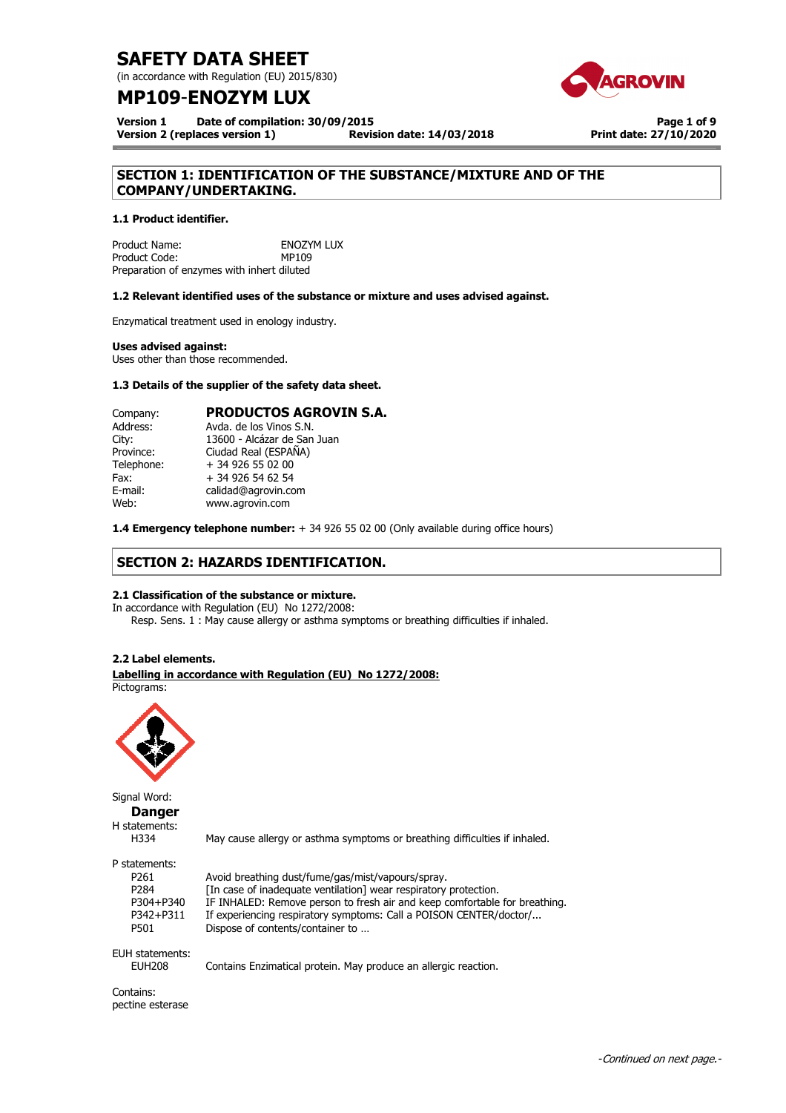(in accordance with Regulation (EU) 2015/830)

## **MP109**-**ENOZYM LUX**



**Version 1 Date of compilation: 30/09/2015 Version 2 (replaces version 1) Revision date: 14/03/2018**

**Page 1 of 9 Print date: 27/10/2020**

## **SECTION 1: IDENTIFICATION OF THE SUBSTANCE/MIXTURE AND OF THE COMPANY/UNDERTAKING.**

## **1.1 Product identifier.**

Product Name: ENOZYM LUX<br>Product Code: END MP109 Product Code: Preparation of enzymes with inhert diluted

## **1.2 Relevant identified uses of the substance or mixture and uses advised against.**

Enzymatical treatment used in enology industry.

### **Uses advised against:**

Uses other than those recommended.

## **1.3 Details of the supplier of the safety data sheet.**

| Company:   | <b>PRODUCTOS AGROVIN S.A.</b> |
|------------|-------------------------------|
| Address:   | Avda, de los Vinos S.N.       |
| City:      | 13600 - Alcázar de San Juan   |
| Province:  | Ciudad Real (ESPAÑA)          |
| Telephone: | + 34 926 55 02 00             |
| Fax:       | + 34 926 54 62 54             |
| E-mail:    | calidad@agrovin.com           |
| Web:       | www.agrovin.com               |

**1.4 Emergency telephone number:** + 34 926 55 02 00 (Only available during office hours)

## **SECTION 2: HAZARDS IDENTIFICATION.**

## **2.1 Classification of the substance or mixture.**

In accordance with Regulation (EU) No 1272/2008: Resp. Sens. 1 : May cause allergy or asthma symptoms or breathing difficulties if inhaled.

## **2.2 Label elements.**

#### **Labelling in accordance with Regulation (EU) No 1272/2008:**  Pictograms:



Signal Word: **Danger** 

H statements:<br>H334

May cause allergy or asthma symptoms or breathing difficulties if inhaled.

P statements:

| P261      | Avoid breathing dust/fume/gas/mist/vapours/spray.                          |
|-----------|----------------------------------------------------------------------------|
| P284      | [In case of inadequate ventilation] wear respiratory protection.           |
| P304+P340 | IF INHALED: Remove person to fresh air and keep comfortable for breathing. |
| P342+P311 | If experiencing respiratory symptoms: Call a POISON CENTER/doctor/         |
| P501      | Dispose of contents/container to                                           |
|           |                                                                            |

EUH statements:<br>EUH208

Contains Enzimatical protein. May produce an allergic reaction.

Contains: pectine esterase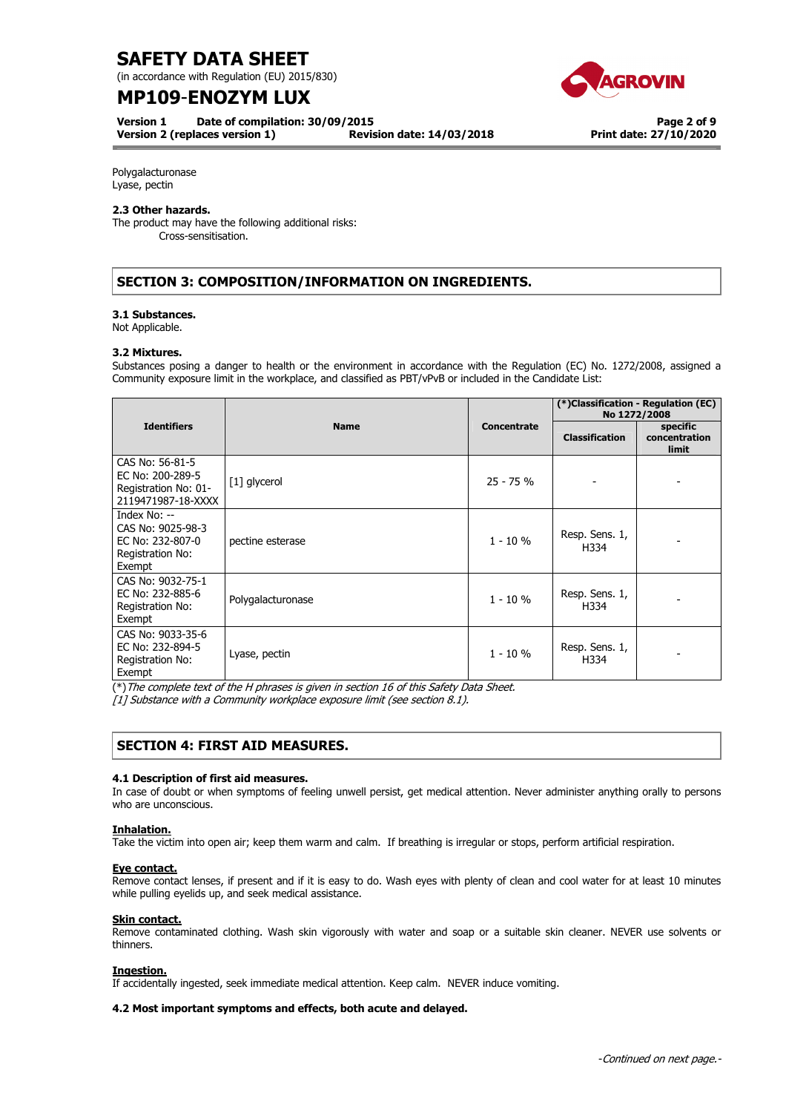(in accordance with Regulation (EU) 2015/830)

## **MP109**-**ENOZYM LUX**

**Version 1 Date of compilation: 30/09/2015** 

**Version 2 (replaces version 1) Revision date: 14/03/2018**



**Page 2 of 9 Print date: 27/10/2020**

Polygalacturonase Lyase, pectin

## **2.3 Other hazards.**

The product may have the following additional risks: Cross-sensitisation.

## **SECTION 3: COMPOSITION/INFORMATION ON INGREDIENTS.**

### **3.1 Substances.**

Not Applicable.

### **3.2 Mixtures.**

Substances posing a danger to health or the environment in accordance with the Regulation (EC) No. 1272/2008, assigned a Community exposure limit in the workplace, and classified as PBT/vPvB or included in the Candidate List:

|                                                                                     |                   |                    | (*)Classification - Regulation (EC)<br>No 1272/2008 |                                           |
|-------------------------------------------------------------------------------------|-------------------|--------------------|-----------------------------------------------------|-------------------------------------------|
| <b>Identifiers</b>                                                                  | <b>Name</b>       | <b>Concentrate</b> | <b>Classification</b>                               | specific<br>concentration<br><b>limit</b> |
| CAS No: 56-81-5<br>EC No: 200-289-5<br>Registration No: 01-<br>2119471987-18-XXXX   | [1] glycerol      | $25 - 75%$         |                                                     |                                           |
| Index No: --<br>CAS No: 9025-98-3<br>EC No: 232-807-0<br>Registration No:<br>Exempt | pectine esterase  | $1 - 10%$          | Resp. Sens. 1,<br>H334                              |                                           |
| CAS No: 9032-75-1<br>EC No: 232-885-6<br>Registration No:<br>Exempt                 | Polygalacturonase | $1 - 10 \%$        | Resp. Sens. 1,<br>H334                              |                                           |
| CAS No: 9033-35-6<br>EC No: 232-894-5<br>Registration No:<br>Exempt                 | Lyase, pectin     | $1 - 10 \%$        | Resp. Sens. 1,<br>H334                              |                                           |

(\*)The complete text of the H phrases is given in section 16 of this Safety Data Sheet.

[1] Substance with a Community workplace exposure limit (see section 8.1).

## **SECTION 4: FIRST AID MEASURES.**

## **4.1 Description of first aid measures.**

In case of doubt or when symptoms of feeling unwell persist, get medical attention. Never administer anything orally to persons who are unconscious.

### **Inhalation.**

Take the victim into open air; keep them warm and calm. If breathing is irregular or stops, perform artificial respiration.

### **Eye contact.**

Remove contact lenses, if present and if it is easy to do. Wash eyes with plenty of clean and cool water for at least 10 minutes while pulling eyelids up, and seek medical assistance.

### **Skin contact.**

Remove contaminated clothing. Wash skin vigorously with water and soap or a suitable skin cleaner. NEVER use solvents or thinners.

### **Ingestion.**

If accidentally ingested, seek immediate medical attention. Keep calm. NEVER induce vomiting.

### **4.2 Most important symptoms and effects, both acute and delayed.**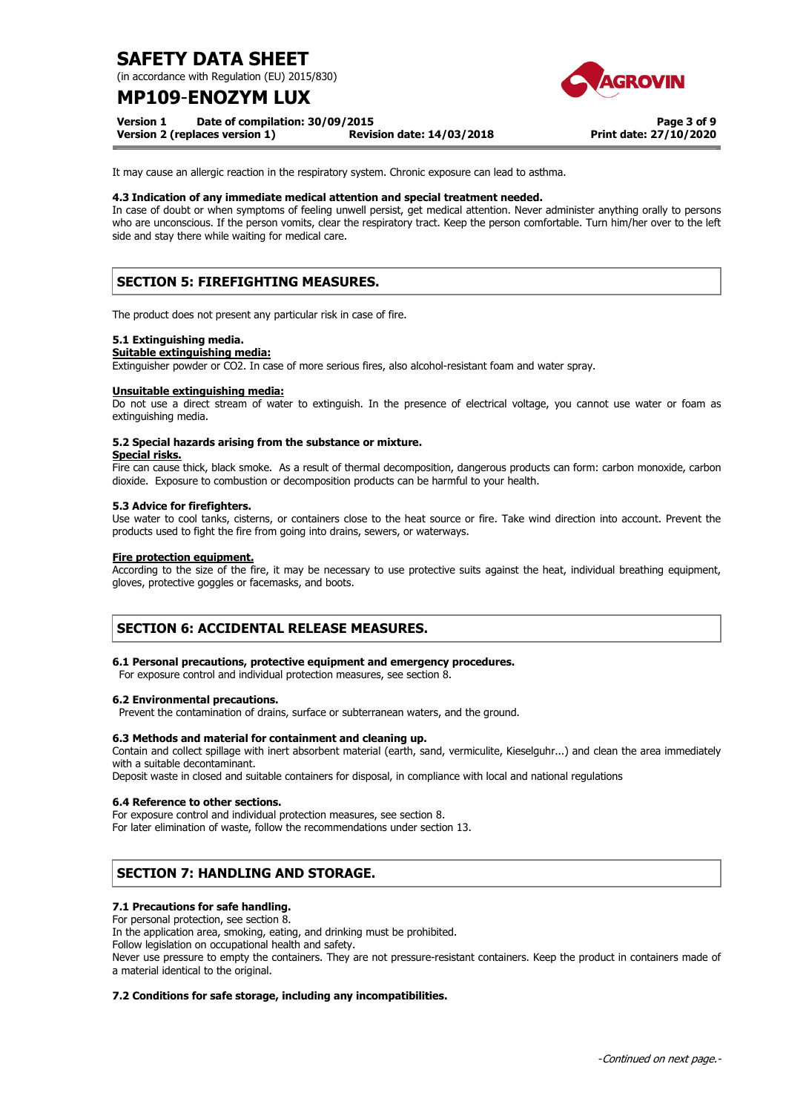(in accordance with Regulation (EU) 2015/830)

## **MP109**-**ENOZYM LUX**

**Version 1 Date of compilation: 30/09/2015** 

**Version 2 (replaces version 1) Revision date: 14/03/2018**

**Page 3 of 9 Print date: 27/10/2020**

It may cause an allergic reaction in the respiratory system. Chronic exposure can lead to asthma.

### **4.3 Indication of any immediate medical attention and special treatment needed.**

In case of doubt or when symptoms of feeling unwell persist, get medical attention. Never administer anything orally to persons who are unconscious. If the person vomits, clear the respiratory tract. Keep the person comfortable. Turn him/her over to the left side and stay there while waiting for medical care.

## **SECTION 5: FIREFIGHTING MEASURES.**

The product does not present any particular risk in case of fire.

### **5.1 Extinguishing media.**

### **Suitable extinguishing media:**

Extinguisher powder or CO2. In case of more serious fires, also alcohol-resistant foam and water spray.

### **Unsuitable extinguishing media:**

Do not use a direct stream of water to extinguish. In the presence of electrical voltage, you cannot use water or foam as extinguishing media.

## **5.2 Special hazards arising from the substance or mixture.**

**Special risks.** 

Fire can cause thick, black smoke. As a result of thermal decomposition, dangerous products can form: carbon monoxide, carbon dioxide. Exposure to combustion or decomposition products can be harmful to your health.

### **5.3 Advice for firefighters.**

Use water to cool tanks, cisterns, or containers close to the heat source or fire. Take wind direction into account. Prevent the products used to fight the fire from going into drains, sewers, or waterways.

### **Fire protection equipment.**

According to the size of the fire, it may be necessary to use protective suits against the heat, individual breathing equipment, gloves, protective goggles or facemasks, and boots.

## **SECTION 6: ACCIDENTAL RELEASE MEASURES.**

### **6.1 Personal precautions, protective equipment and emergency procedures.**

For exposure control and individual protection measures, see section 8.

### **6.2 Environmental precautions.**

Prevent the contamination of drains, surface or subterranean waters, and the ground.

### **6.3 Methods and material for containment and cleaning up.**

Contain and collect spillage with inert absorbent material (earth, sand, vermiculite, Kieselguhr...) and clean the area immediately with a suitable decontaminant.

Deposit waste in closed and suitable containers for disposal, in compliance with local and national regulations

## **6.4 Reference to other sections.**

For exposure control and individual protection measures, see section 8. For later elimination of waste, follow the recommendations under section 13.

## **SECTION 7: HANDLING AND STORAGE.**

## **7.1 Precautions for safe handling.**

For personal protection, see section 8.

In the application area, smoking, eating, and drinking must be prohibited.

Follow legislation on occupational health and safety.

Never use pressure to empty the containers. They are not pressure-resistant containers. Keep the product in containers made of a material identical to the original.

### **7.2 Conditions for safe storage, including any incompatibilities.**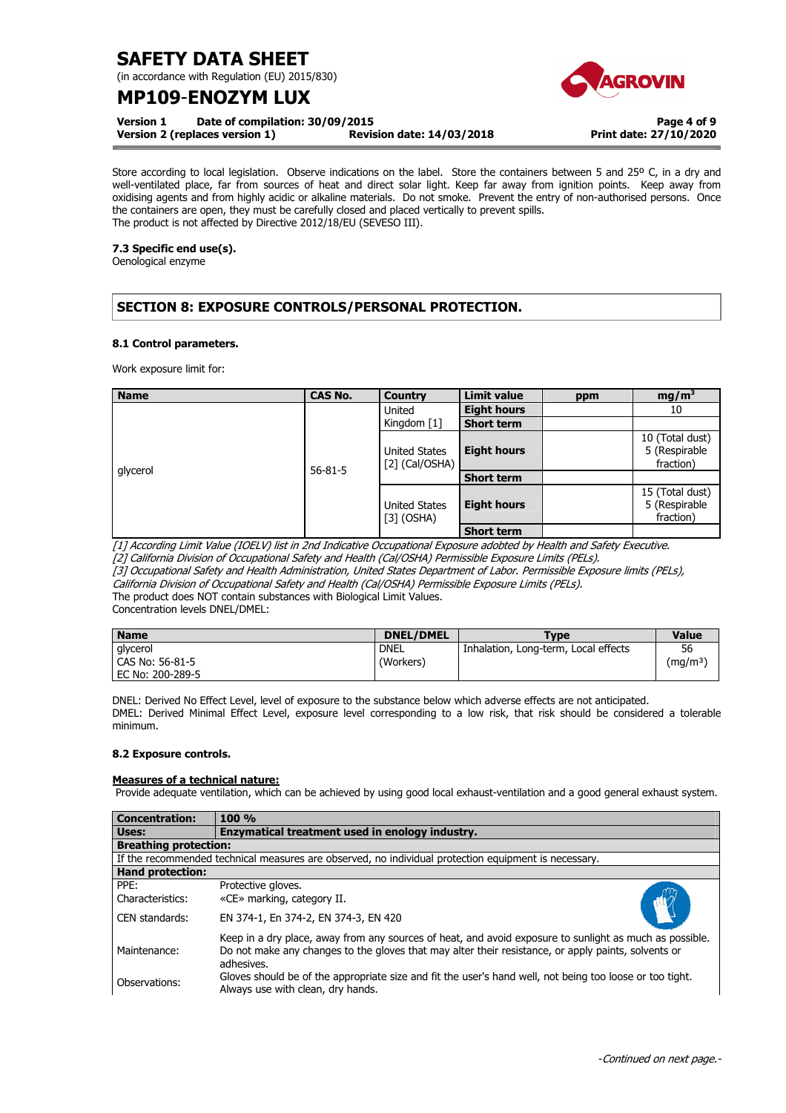(in accordance with Regulation (EU) 2015/830)

## **MP109**-**ENOZYM LUX**

**Version 1 Date of compilation: 30/09/2015** 

**Version 2 (replaces version 1) Revision date: 14/03/2018**

**Page 4 of 9 Print date: 27/10/2020**

Store according to local legislation. Observe indications on the label. Store the containers between 5 and 25° C, in a dry and well-ventilated place, far from sources of heat and direct solar light. Keep far away from ignition points. Keep away from oxidising agents and from highly acidic or alkaline materials. Do not smoke. Prevent the entry of non-authorised persons. Once the containers are open, they must be carefully closed and placed vertically to prevent spills. The product is not affected by Directive 2012/18/EU (SEVESO III).

## **7.3 Specific end use(s).**

Oenological enzyme

## **SECTION 8: EXPOSURE CONTROLS/PERSONAL PROTECTION.**

## **8.1 Control parameters.**

Work exposure limit for:

| <b>Name</b> | <b>CAS No.</b> | Country                              | <b>Limit value</b> | ppm | mg/m <sup>3</sup>                             |
|-------------|----------------|--------------------------------------|--------------------|-----|-----------------------------------------------|
|             | $56 - 81 - 5$  | United                               | <b>Eight hours</b> |     | 10                                            |
|             |                | Kingdom $\lceil 1 \rceil$            | <b>Short term</b>  |     |                                               |
|             |                | United States<br>$[2]$ (Cal/OSHA)    | <b>Eight hours</b> |     | 10 (Total dust)<br>5 (Respirable<br>fraction) |
| glycerol    |                |                                      | <b>Short term</b>  |     |                                               |
|             |                | <b>United States</b><br>$[3]$ (OSHA) | <b>Eight hours</b> |     | 15 (Total dust)<br>5 (Respirable<br>fraction) |
|             |                |                                      | <b>Short term</b>  |     |                                               |

[1] According Limit Value (IOELV) list in 2nd Indicative Occupational Exposure adobted by Health and Safety Executive.

[2] California Division of Occupational Safety and Health (Cal/OSHA) Permissible Exposure Limits (PELs).

[3] Occupational Safety and Health Administration, United States Department of Labor. Permissible Exposure limits (PELs), California Division of Occupational Safety and Health (Cal/OSHA) Permissible Exposure Limits (PELs).

The product does NOT contain substances with Biological Limit Values.

Concentration levels DNEL/DMEL:

| <b>Name</b>      | <b>DNEL/DMEL</b> | <b>Type</b>                          | <b>Value</b>         |
|------------------|------------------|--------------------------------------|----------------------|
| glycerol         | <b>DNEL</b>      | Inhalation, Long-term, Local effects | 56                   |
| CAS No: 56-81-5  | (Workers)        |                                      | (mg/m <sup>3</sup> ) |
| EC No: 200-289-5 |                  |                                      |                      |

DNEL: Derived No Effect Level, level of exposure to the substance below which adverse effects are not anticipated. DMEL: Derived Minimal Effect Level, exposure level corresponding to a low risk, that risk should be considered a tolerable minimum.

## **8.2 Exposure controls.**

## **Measures of a technical nature:**

Provide adequate ventilation, which can be achieved by using good local exhaust-ventilation and a good general exhaust system.

| <b>Concentration:</b>        | 100 %                                                                                                                                                                                                                        |  |
|------------------------------|------------------------------------------------------------------------------------------------------------------------------------------------------------------------------------------------------------------------------|--|
| Uses:                        | Enzymatical treatment used in enology industry.                                                                                                                                                                              |  |
| <b>Breathing protection:</b> |                                                                                                                                                                                                                              |  |
|                              | If the recommended technical measures are observed, no individual protection equipment is necessary.                                                                                                                         |  |
| <b>Hand protection:</b>      |                                                                                                                                                                                                                              |  |
| PPF:<br>Characteristics:     | Protective gloves.<br>«CE» marking, category II.                                                                                                                                                                             |  |
| CEN standards:               | EN 374-1, En 374-2, EN 374-3, EN 420                                                                                                                                                                                         |  |
| Maintenance:                 | Keep in a dry place, away from any sources of heat, and avoid exposure to sunlight as much as possible.<br>Do not make any changes to the gloves that may alter their resistance, or apply paints, solvents or<br>adhesives. |  |
| Observations:                | Gloves should be of the appropriate size and fit the user's hand well, not being too loose or too tight.<br>Always use with clean, dry hands.                                                                                |  |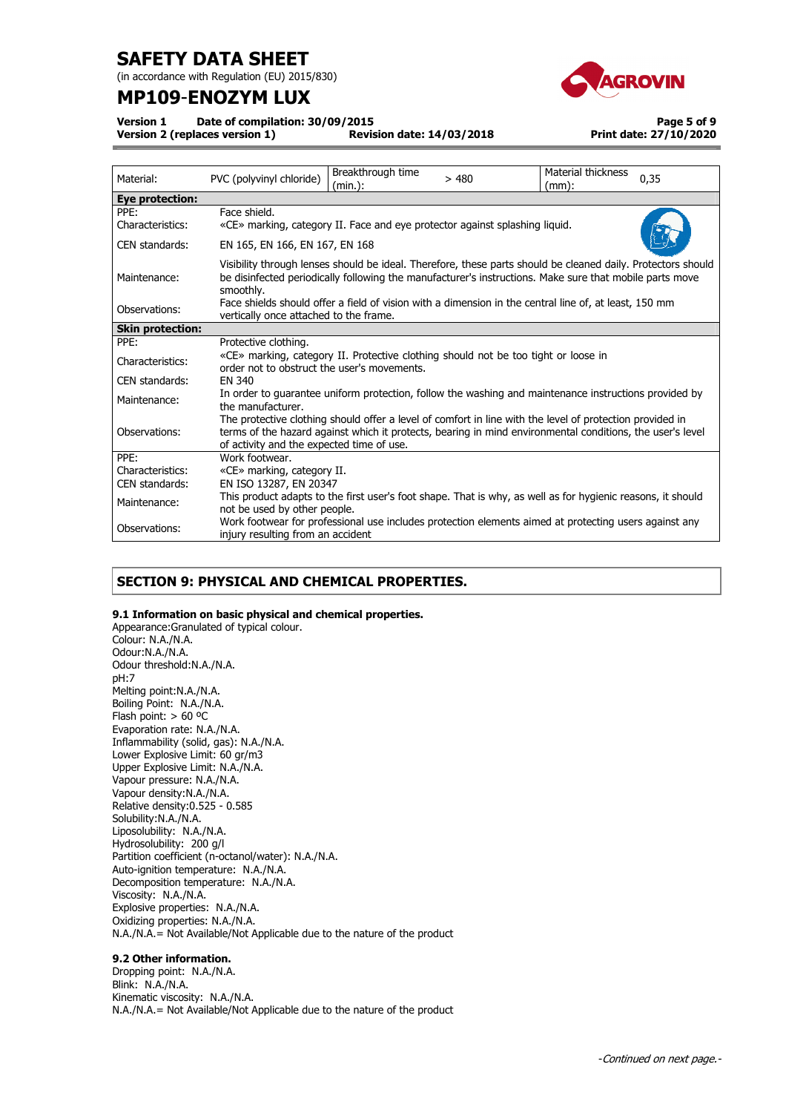(in accordance with Regulation (EU) 2015/830)

## **MP109**-**ENOZYM LUX**



**Version 1 Date of compilation: 30/09/2015** 

**Version 2 (replaces version 1)** 

**Page 5 of 9 Print date: 27/10/2020**

| Material:                | Breakthrough time<br>Material thickness<br>0,35<br>PVC (polyvinyl chloride)<br>>480<br>$(mm)$ :<br>(min.):                                                                                                                                                         |  |  |  |  |
|--------------------------|--------------------------------------------------------------------------------------------------------------------------------------------------------------------------------------------------------------------------------------------------------------------|--|--|--|--|
| <b>Eye protection:</b>   |                                                                                                                                                                                                                                                                    |  |  |  |  |
| PPE:<br>Characteristics: | Face shield.<br>«CE» marking, category II. Face and eye protector against splashing liquid.                                                                                                                                                                        |  |  |  |  |
| CEN standards:           | EN 165, EN 166, EN 167, EN 168                                                                                                                                                                                                                                     |  |  |  |  |
| Maintenance:             | Visibility through lenses should be ideal. Therefore, these parts should be cleaned daily. Protectors should<br>be disinfected periodically following the manufacturer's instructions. Make sure that mobile parts move<br>smoothly.                               |  |  |  |  |
| Observations:            | Face shields should offer a field of vision with a dimension in the central line of, at least, 150 mm<br>vertically once attached to the frame.                                                                                                                    |  |  |  |  |
| <b>Skin protection:</b>  |                                                                                                                                                                                                                                                                    |  |  |  |  |
| PPE:                     | Protective clothing.                                                                                                                                                                                                                                               |  |  |  |  |
| Characteristics:         | «CE» marking, category II. Protective clothing should not be too tight or loose in<br>order not to obstruct the user's movements.                                                                                                                                  |  |  |  |  |
| CEN standards:           | FN 340                                                                                                                                                                                                                                                             |  |  |  |  |
| Maintenance:             | In order to quarantee uniform protection, follow the washing and maintenance instructions provided by<br>the manufacturer.                                                                                                                                         |  |  |  |  |
| Observations:            | The protective clothing should offer a level of comfort in line with the level of protection provided in<br>terms of the hazard against which it protects, bearing in mind environmental conditions, the user's level<br>of activity and the expected time of use. |  |  |  |  |
| PPE:                     | Work footwear.                                                                                                                                                                                                                                                     |  |  |  |  |
| Characteristics:         | «CE» marking, category II.                                                                                                                                                                                                                                         |  |  |  |  |
| CEN standards:           | EN ISO 13287, EN 20347                                                                                                                                                                                                                                             |  |  |  |  |
| Maintenance:             | This product adapts to the first user's foot shape. That is why, as well as for hygienic reasons, it should<br>not be used by other people.                                                                                                                        |  |  |  |  |
| Observations:            | Work footwear for professional use includes protection elements aimed at protecting users against any<br>injury resulting from an accident                                                                                                                         |  |  |  |  |

## **SECTION 9: PHYSICAL AND CHEMICAL PROPERTIES.**

## **9.1 Information on basic physical and chemical properties.**

Appearance:Granulated of typical colour. Colour: N.A./N.A. Odour:N.A./N.A. Odour threshold:N.A./N.A. pH:7 Melting point:N.A./N.A. Boiling Point: N.A./N.A. Flash point:  $> 60$  °C Evaporation rate: N.A./N.A. Inflammability (solid, gas): N.A./N.A. Lower Explosive Limit: 60 gr/m3 Upper Explosive Limit: N.A./N.A. Vapour pressure: N.A./N.A. Vapour density:N.A./N.A. Relative density:0.525 - 0.585 Solubility:N.A./N.A. Liposolubility: N.A./N.A. Hydrosolubility: 200 g/l Partition coefficient (n-octanol/water): N.A./N.A. Auto-ignition temperature: N.A./N.A. Decomposition temperature: N.A./N.A. Viscosity: N.A./N.A. Explosive properties: N.A./N.A. Oxidizing properties: N.A./N.A. N.A./N.A.= Not Available/Not Applicable due to the nature of the product

## **9.2 Other information.**

Dropping point: N.A./N.A. Blink: N.A./N.A. Kinematic viscosity: N.A./N.A. N.A./N.A.= Not Available/Not Applicable due to the nature of the product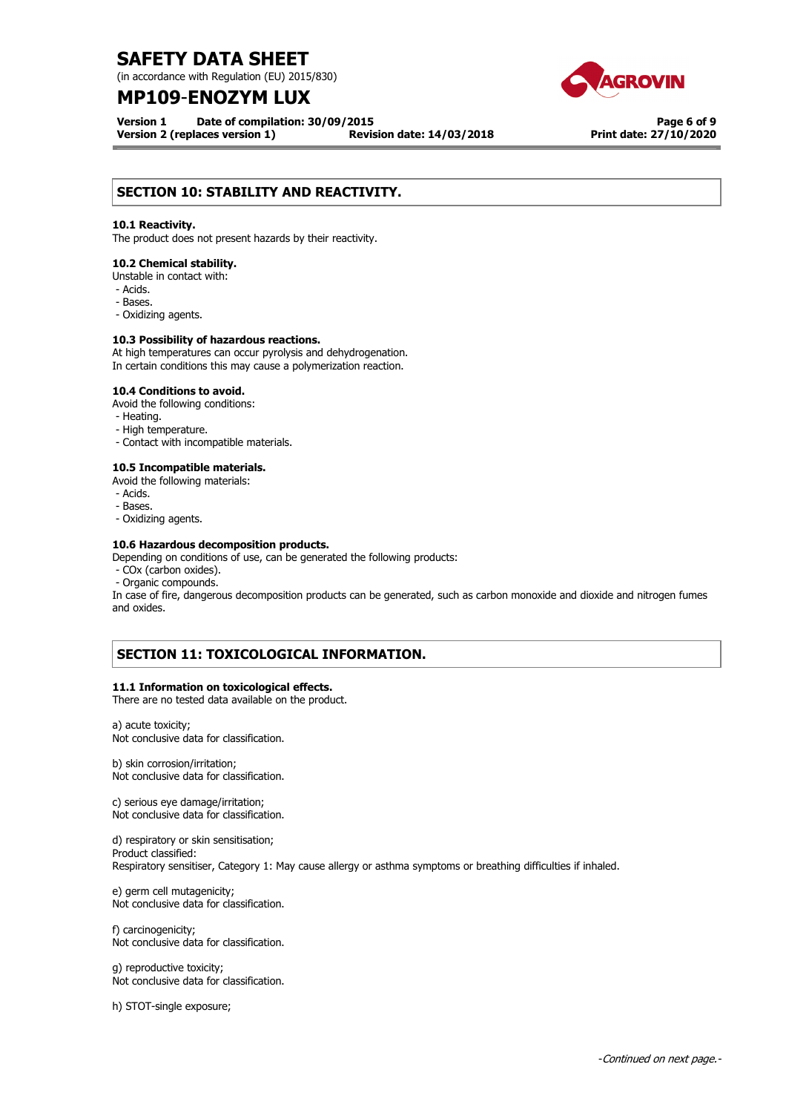(in accordance with Regulation (EU) 2015/830)

## **MP109**-**ENOZYM LUX**

**Version 1 Date of compilation: 30/09/2015 Version 2 (replaces version 1) Revision date: 14/03/2018**

**Page 6 of 9 Print date: 27/10/2020**

## **SECTION 10: STABILITY AND REACTIVITY.**

### **10.1 Reactivity.**

The product does not present hazards by their reactivity.

### **10.2 Chemical stability.**

Unstable in contact with:

- Acids.
- Bases.
- Oxidizing agents.

### **10.3 Possibility of hazardous reactions.**

At high temperatures can occur pyrolysis and dehydrogenation. In certain conditions this may cause a polymerization reaction.

### **10.4 Conditions to avoid.**

Avoid the following conditions:

- Heating.
- High temperature.
- Contact with incompatible materials.

### **10.5 Incompatible materials.**

- Avoid the following materials:
- Acids.
- Bases.
- Oxidizing agents.

## **10.6 Hazardous decomposition products.**

Depending on conditions of use, can be generated the following products:

- COx (carbon oxides).
- Organic compounds.

In case of fire, dangerous decomposition products can be generated, such as carbon monoxide and dioxide and nitrogen fumes and oxides.

## **SECTION 11: TOXICOLOGICAL INFORMATION.**

### **11.1 Information on toxicological effects.**

There are no tested data available on the product.

a) acute toxicity; Not conclusive data for classification.

b) skin corrosion/irritation; Not conclusive data for classification.

c) serious eye damage/irritation;

Not conclusive data for classification.

d) respiratory or skin sensitisation; Product classified: Respiratory sensitiser, Category 1: May cause allergy or asthma symptoms or breathing difficulties if inhaled.

e) germ cell mutagenicity; Not conclusive data for classification.

f) carcinogenicity; Not conclusive data for classification.

g) reproductive toxicity; Not conclusive data for classification.

h) STOT-single exposure;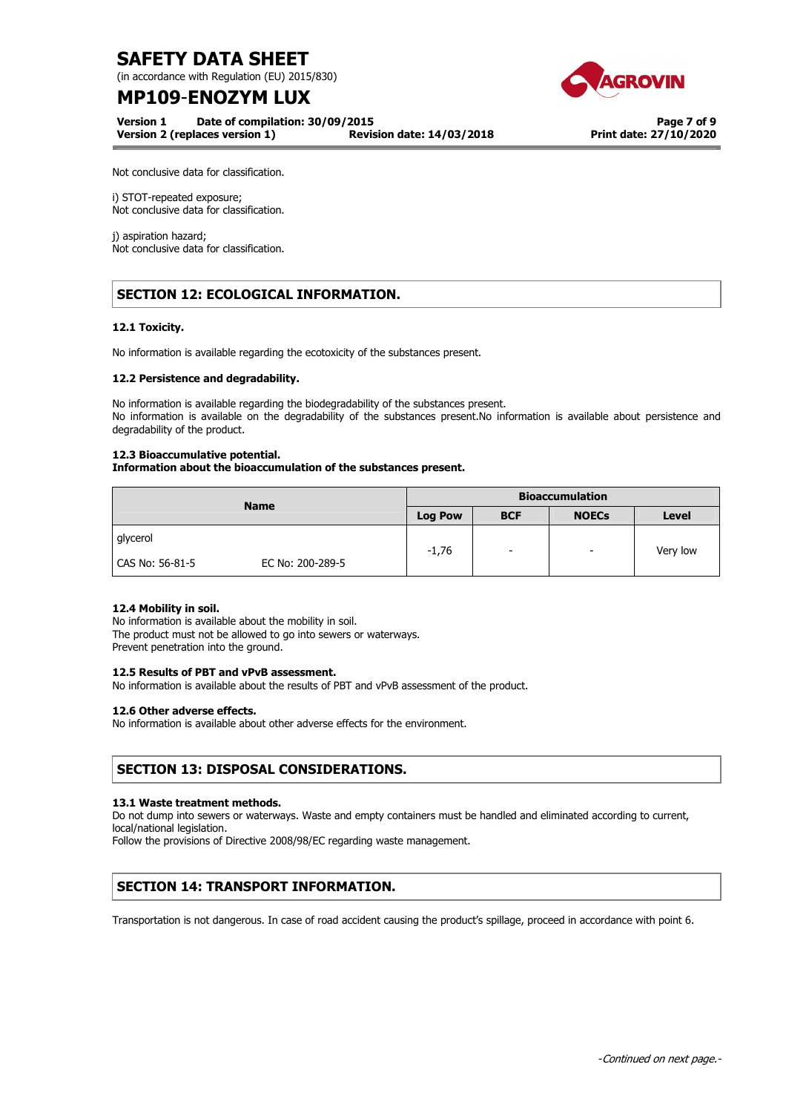(in accordance with Regulation (EU) 2015/830)

# **MP109**-**ENOZYM LUX**

**Version 1 Date of compilation: 30/09/2015** 

**Version 2 (replaces version 1) Revision date: 14/03/2018**



**Page 7 of 9 Print date: 27/10/2020**

Not conclusive data for classification.

i) STOT-repeated exposure; Not conclusive data for classification.

j) aspiration hazard; Not conclusive data for classification.

## **SECTION 12: ECOLOGICAL INFORMATION.**

## **12.1 Toxicity.**

No information is available regarding the ecotoxicity of the substances present.

## **12.2 Persistence and degradability.**

No information is available regarding the biodegradability of the substances present. No information is available on the degradability of the substances present.No information is available about persistence and degradability of the product.

### **12.3 Bioaccumulative potential.**

## **Information about the bioaccumulation of the substances present.**

| <b>Name</b>     |                  | <b>Bioaccumulation</b> |            |                          |              |
|-----------------|------------------|------------------------|------------|--------------------------|--------------|
|                 |                  | <b>Log Pow</b>         | <b>BCF</b> | <b>NOECs</b>             | <b>Level</b> |
| glycerol        |                  | $-1,76$                | ۰.         | $\overline{\phantom{0}}$ | Very low     |
| CAS No: 56-81-5 | EC No: 200-289-5 |                        |            |                          |              |

## **12.4 Mobility in soil.**

No information is available about the mobility in soil. The product must not be allowed to go into sewers or waterways. Prevent penetration into the ground.

## **12.5 Results of PBT and vPvB assessment.**

No information is available about the results of PBT and vPvB assessment of the product.

### **12.6 Other adverse effects.**

No information is available about other adverse effects for the environment.

## **SECTION 13: DISPOSAL CONSIDERATIONS.**

### **13.1 Waste treatment methods.**

Do not dump into sewers or waterways. Waste and empty containers must be handled and eliminated according to current, local/national legislation.

Follow the provisions of Directive 2008/98/EC regarding waste management.

## **SECTION 14: TRANSPORT INFORMATION.**

Transportation is not dangerous. In case of road accident causing the product's spillage, proceed in accordance with point 6.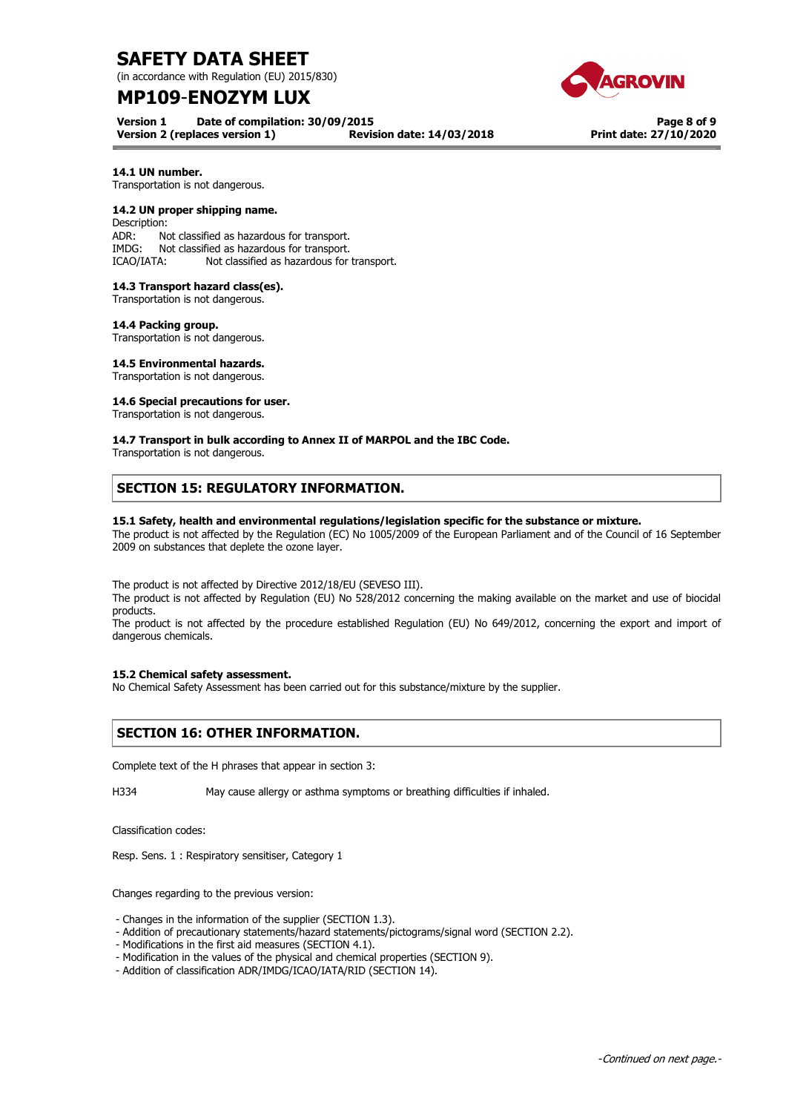(in accordance with Regulation (EU) 2015/830)

## **MP109**-**ENOZYM LUX**

**Version 1 Date of compilation: 30/09/2015 Version 2 (replaces version 1) Revision date: 14/03/2018**

**Page 8 of 9 Print date: 27/10/2020**

## **14.1 UN number.**

Transportation is not dangerous.

### **14.2 UN proper shipping name.**

Description: ADR: Not classified as hazardous for transport. IMDG: Not classified as hazardous for transport. ICAO/IATA: Not classified as hazardous for transport.

## **14.3 Transport hazard class(es).**

Transportation is not dangerous.

#### **14.4 Packing group.**

Transportation is not dangerous.

### **14.5 Environmental hazards.**

Transportation is not dangerous.

### **14.6 Special precautions for user.**

Transportation is not dangerous.

### **14.7 Transport in bulk according to Annex II of MARPOL and the IBC Code.**

Transportation is not dangerous.

## **SECTION 15: REGULATORY INFORMATION.**

### **15.1 Safety, health and environmental regulations/legislation specific for the substance or mixture.**

The product is not affected by the Regulation (EC) No 1005/2009 of the European Parliament and of the Council of 16 September 2009 on substances that deplete the ozone layer.

The product is not affected by Directive 2012/18/EU (SEVESO III).

The product is not affected by Regulation (EU) No 528/2012 concerning the making available on the market and use of biocidal products.

The product is not affected by the procedure established Regulation (EU) No 649/2012, concerning the export and import of dangerous chemicals.

### **15.2 Chemical safety assessment.**

No Chemical Safety Assessment has been carried out for this substance/mixture by the supplier.

## **SECTION 16: OTHER INFORMATION.**

Complete text of the H phrases that appear in section 3:

H334 May cause allergy or asthma symptoms or breathing difficulties if inhaled.

Classification codes:

Resp. Sens. 1 : Respiratory sensitiser, Category 1

Changes regarding to the previous version:

- Changes in the information of the supplier (SECTION 1.3).

- Addition of precautionary statements/hazard statements/pictograms/signal word (SECTION 2.2).
- Modifications in the first aid measures (SECTION 4.1).
- Modification in the values of the physical and chemical properties (SECTION 9).
- Addition of classification ADR/IMDG/ICAO/IATA/RID (SECTION 14).